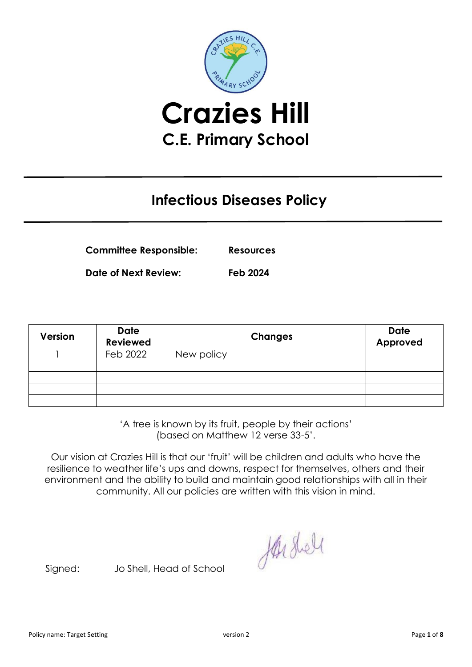

# **Infectious Diseases Policy**

|  | <b>Committee Responsible:</b> | <b>Resources</b> |
|--|-------------------------------|------------------|
|--|-------------------------------|------------------|

**Date of Next Review: Feb 2024**

| <b>Version</b> | <b>Date</b><br><b>Reviewed</b> | <b>Changes</b> | Date<br>Approved |
|----------------|--------------------------------|----------------|------------------|
|                | Feb 2022                       | New policy     |                  |
|                |                                |                |                  |
|                |                                |                |                  |
|                |                                |                |                  |
|                |                                |                |                  |

'A tree is known by its fruit, people by their actions' (based on Matthew 12 verse 33-5'.

Our vision at Crazies Hill is that our 'fruit' will be children and adults who have the resilience to weather life's ups and downs, respect for themselves, others and their environment and the ability to build and maintain good relationships with all in their community. All our policies are written with this vision in mind.

Hushell

Signed: Jo Shell, Head of School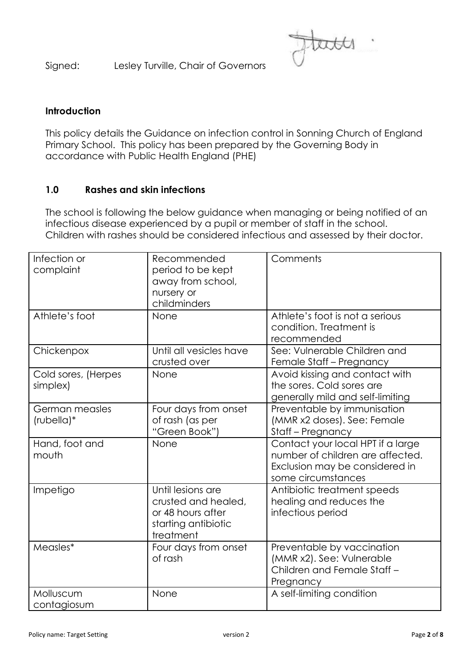Signed: Lesley Turville, Chair of Governors

#### **Introduction**

This policy details the Guidance on infection control in Sonning Church of England Primary School. This policy has been prepared by the Governing Body in accordance with Public Health England (PHE)

#### **1.0 Rashes and skin infections**

The school is following the below guidance when managing or being notified of an infectious disease experienced by a pupil or member of staff in the school. Children with rashes should be considered infectious and assessed by their doctor.

| Infection or<br>complaint       | Recommended<br>period to be kept<br>away from school,<br>nursery or<br>childminders               | Comments                                                                                                                      |
|---------------------------------|---------------------------------------------------------------------------------------------------|-------------------------------------------------------------------------------------------------------------------------------|
| Athlete's foot                  | None                                                                                              | Athlete's foot is not a serious<br>condition. Treatment is<br>recommended                                                     |
| Chickenpox                      | Until all vesicles have<br>crusted over                                                           | See: Vulnerable Children and<br>Female Staff - Pregnancy                                                                      |
| Cold sores, (Herpes<br>simplex) | None                                                                                              | Avoid kissing and contact with<br>the sores. Cold sores are<br>generally mild and self-limiting                               |
| German measles<br>(rubella)*    | Four days from onset<br>of rash (as per<br>"Green Book")                                          | Preventable by immunisation<br>(MMR x2 doses). See: Female<br>Staff-Pregnancy                                                 |
| Hand, foot and<br>mouth         | None                                                                                              | Contact your local HPT if a large<br>number of children are affected.<br>Exclusion may be considered in<br>some circumstances |
| Impetigo                        | Until lesions are<br>crusted and healed,<br>or 48 hours after<br>starting antibiotic<br>treatment | Antibiotic treatment speeds<br>healing and reduces the<br>infectious period                                                   |
| Measles*                        | Four days from onset<br>of rash                                                                   | Preventable by vaccination<br>(MMR x2). See: Vulnerable<br>Children and Female Staff -<br>Pregnancy                           |
| Molluscum<br>contagiosum        | None                                                                                              | A self-limiting condition                                                                                                     |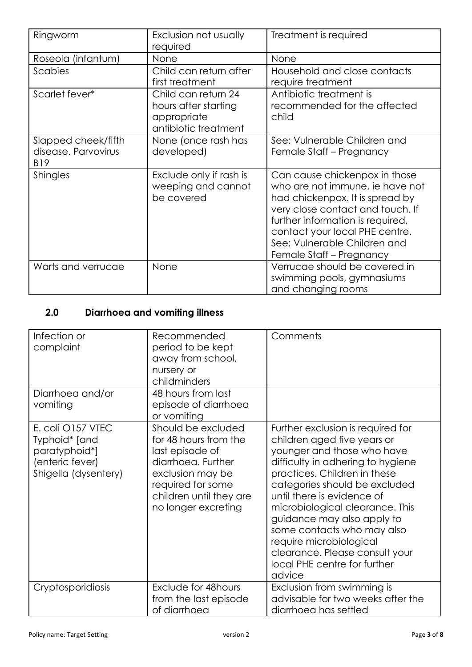| Ringworm                                                 | Exclusion not usually<br>required                                                  | Treatment is required                                                                                                                                                                                                                                                     |
|----------------------------------------------------------|------------------------------------------------------------------------------------|---------------------------------------------------------------------------------------------------------------------------------------------------------------------------------------------------------------------------------------------------------------------------|
| Roseola (infantum)                                       | None                                                                               | None                                                                                                                                                                                                                                                                      |
| Scabies                                                  | Child can return after<br>first treatment                                          | Household and close contacts<br>require treatment                                                                                                                                                                                                                         |
| Scarlet fever*                                           | Child can return 24<br>hours after starting<br>appropriate<br>antibiotic treatment | Antibiotic treatment is<br>recommended for the affected<br>child                                                                                                                                                                                                          |
| Slapped cheek/fifth<br>disease. Parvovirus<br><b>B19</b> | None (once rash has<br>developed)                                                  | See: Vulnerable Children and<br>Female Staff – Pregnancy                                                                                                                                                                                                                  |
| <b>Shingles</b>                                          | Exclude only if rash is<br>weeping and cannot<br>be covered                        | Can cause chickenpox in those<br>who are not immune, ie have not<br>had chickenpox. It is spread by<br>very close contact and touch. If<br>further information is required,<br>contact your local PHE centre.<br>See: Vulnerable Children and<br>Female Staff – Pregnancy |
| Warts and verrucae                                       | None                                                                               | Verrucae should be covered in<br>swimming pools, gymnasiums<br>and changing rooms                                                                                                                                                                                         |

# **2.0 Diarrhoea and vomiting illness**

| Infection or<br>complaint                                                                      | Recommended<br>period to be kept<br>away from school,<br>nursery or<br>childminders                                                                                             | Comments                                                                                                                                                                                                                                                                                                                                                                                                                                 |
|------------------------------------------------------------------------------------------------|---------------------------------------------------------------------------------------------------------------------------------------------------------------------------------|------------------------------------------------------------------------------------------------------------------------------------------------------------------------------------------------------------------------------------------------------------------------------------------------------------------------------------------------------------------------------------------------------------------------------------------|
| Diarrhoea and/or<br>vomiting                                                                   | 48 hours from last<br>episode of diarrhoea<br>or vomiting                                                                                                                       |                                                                                                                                                                                                                                                                                                                                                                                                                                          |
| E. coli O157 VTEC<br>Typhoid* [and<br>paratyphoid*]<br>(enteric fever)<br>Shigella (dysentery) | Should be excluded<br>for 48 hours from the<br>last episode of<br>diarrhoea. Further<br>exclusion may be<br>required for some<br>children until they are<br>no longer excreting | Further exclusion is required for<br>children aged five years or<br>younger and those who have<br>difficulty in adhering to hygiene<br>practices. Children in these<br>categories should be excluded<br>until there is evidence of<br>microbiological clearance. This<br>guidance may also apply to<br>some contacts who may also<br>require microbiological<br>clearance. Please consult your<br>local PHE centre for further<br>advice |
| Cryptosporidiosis                                                                              | Exclude for 48 hours<br>from the last episode<br>of diarrhoea                                                                                                                   | Exclusion from swimming is<br>advisable for two weeks after the<br>diarrhoea has settled                                                                                                                                                                                                                                                                                                                                                 |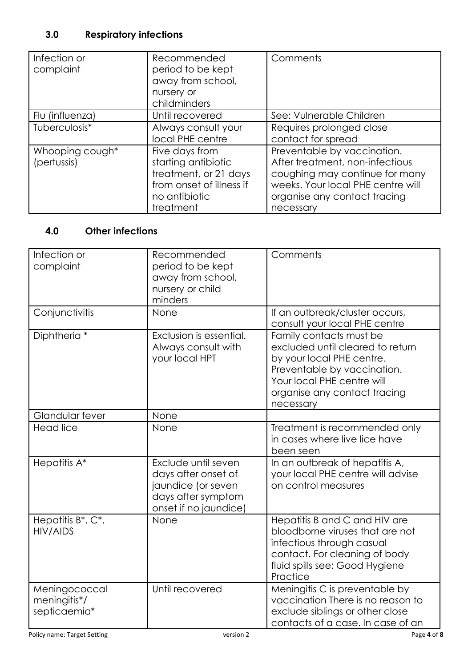# **3.0 Respiratory infections**

| Infection or<br>complaint      | Recommended<br>period to be kept<br>away from school,<br>nursery or<br>childminders                                      | Comments                                                                                                                                                                           |
|--------------------------------|--------------------------------------------------------------------------------------------------------------------------|------------------------------------------------------------------------------------------------------------------------------------------------------------------------------------|
| Flu (influenza)                | Until recovered                                                                                                          | See: Vulnerable Children                                                                                                                                                           |
| Tuberculosis*                  | Always consult your<br>local PHE centre                                                                                  | Requires prolonged close<br>contact for spread                                                                                                                                     |
| Whooping cough*<br>(pertussis) | Five days from<br>starting antibiotic<br>treatment, or 21 days<br>from onset of illness if<br>no antibiotic<br>treatment | Preventable by vaccination.<br>After treatment, non-infectious<br>coughing may continue for many<br>weeks. Your local PHE centre will<br>organise any contact tracing<br>necessary |

### **4.0 Other infections**

| Infection or<br>complaint                     | Recommended<br>period to be kept<br>away from school,<br>nursery or child<br>minders                            | Comments                                                                                                                                                                                           |
|-----------------------------------------------|-----------------------------------------------------------------------------------------------------------------|----------------------------------------------------------------------------------------------------------------------------------------------------------------------------------------------------|
| Conjunctivitis                                | None                                                                                                            | If an outbreak/cluster occurs,<br>consult your local PHE centre                                                                                                                                    |
| Diphtheria <sup>*</sup>                       | Exclusion is essential.<br>Always consult with<br>your local HPT                                                | Family contacts must be<br>excluded until cleared to return<br>by your local PHE centre.<br>Preventable by vaccination.<br>Your local PHE centre will<br>organise any contact tracing<br>necessary |
| Glandular fever                               | None                                                                                                            |                                                                                                                                                                                                    |
| <b>Head lice</b>                              | None                                                                                                            | Treatment is recommended only<br>in cases where live lice have<br>been seen                                                                                                                        |
| Hepatitis A*                                  | Exclude until seven<br>days after onset of<br>jaundice (or seven<br>days after symptom<br>onset if no jaundice) | In an outbreak of hepatitis A,<br>your local PHE centre will advise<br>on control measures                                                                                                         |
| Hepatitis B*, C*,<br><b>HIV/AIDS</b>          | None                                                                                                            | Hepatitis B and C and HIV are<br>bloodborne viruses that are not<br>infectious through casual<br>contact. For cleaning of body<br>fluid spills see: Good Hygiene<br>Practice                       |
| Meningococcal<br>meningitis*/<br>septicaemia* | Until recovered                                                                                                 | Meningitis C is preventable by<br>vaccination There is no reason to<br>exclude siblings or other close<br>contacts of a case. In case of an                                                        |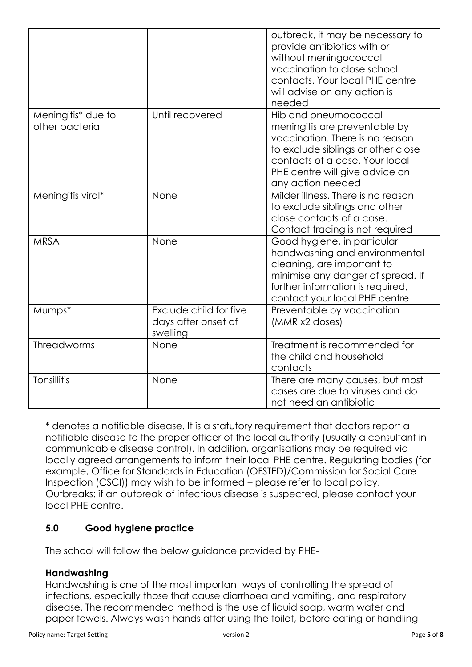|                                                  |                                                           | outbreak, it may be necessary to<br>provide antibiotics with or<br>without meningococcal<br>vaccination to close school<br>contacts. Your local PHE centre<br>will advise on any action is<br>needed                    |
|--------------------------------------------------|-----------------------------------------------------------|-------------------------------------------------------------------------------------------------------------------------------------------------------------------------------------------------------------------------|
| Meningitis <sup>*</sup> due to<br>other bacteria | Until recovered                                           | Hib and pneumococcal<br>meningitis are preventable by<br>vaccination. There is no reason<br>to exclude siblings or other close<br>contacts of a case. Your local<br>PHE centre will give advice on<br>any action needed |
| Meningitis viral*                                | None                                                      | Milder illness. There is no reason<br>to exclude siblings and other<br>close contacts of a case.<br>Contact tracing is not required                                                                                     |
| <b>MRSA</b>                                      | None                                                      | Good hygiene, in particular<br>handwashing and environmental<br>cleaning, are important to<br>minimise any danger of spread. If<br>further information is required,<br>contact your local PHE centre                    |
| Mumps*                                           | Exclude child for five<br>days after onset of<br>swelling | Preventable by vaccination<br>(MMR x2 doses)                                                                                                                                                                            |
| <b>Threadworms</b>                               | None                                                      | Treatment is recommended for<br>the child and household<br>contacts                                                                                                                                                     |
| Tonsillitis                                      | None                                                      | There are many causes, but most<br>cases are due to viruses and do<br>not need an antibiotic                                                                                                                            |

\* denotes a notifiable disease. It is a statutory requirement that doctors report a notifiable disease to the proper officer of the local authority (usually a consultant in communicable disease control). In addition, organisations may be required via locally agreed arrangements to inform their local PHE centre. Regulating bodies (for example, Office for Standards in Education (OFSTED)/Commission for Social Care Inspection (CSCI)) may wish to be informed – please refer to local policy. Outbreaks: if an outbreak of infectious disease is suspected, please contact your local PHE centre.

#### **5.0 Good hygiene practice**

The school will follow the below guidance provided by PHE-

#### **Handwashing**

Handwashing is one of the most important ways of controlling the spread of infections, especially those that cause diarrhoea and vomiting, and respiratory disease. The recommended method is the use of liquid soap, warm water and paper towels. Always wash hands after using the toilet, before eating or handling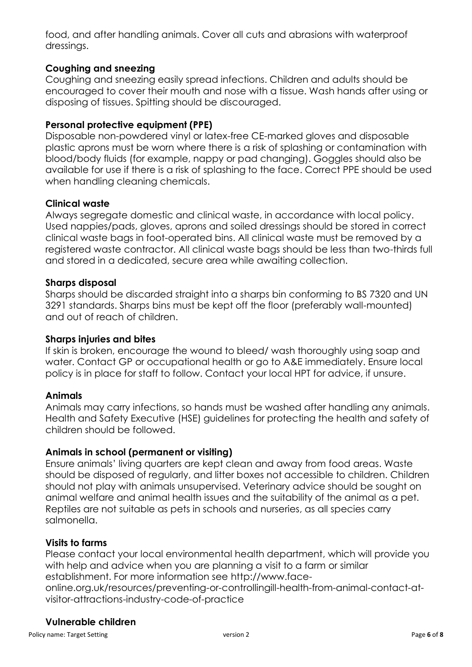food, and after handling animals. Cover all cuts and abrasions with waterproof dressings.

#### **Coughing and sneezing**

Coughing and sneezing easily spread infections. Children and adults should be encouraged to cover their mouth and nose with a tissue. Wash hands after using or disposing of tissues. Spitting should be discouraged.

#### **Personal protective equipment (PPE)**

Disposable non-powdered vinyl or latex-free CE-marked gloves and disposable plastic aprons must be worn where there is a risk of splashing or contamination with blood/body fluids (for example, nappy or pad changing). Goggles should also be available for use if there is a risk of splashing to the face. Correct PPE should be used when handling cleaning chemicals.

#### **Clinical waste**

Always segregate domestic and clinical waste, in accordance with local policy. Used nappies/pads, gloves, aprons and soiled dressings should be stored in correct clinical waste bags in foot-operated bins. All clinical waste must be removed by a registered waste contractor. All clinical waste bags should be less than two-thirds full and stored in a dedicated, secure area while awaiting collection.

#### **Sharps disposal**

Sharps should be discarded straight into a sharps bin conforming to BS 7320 and UN 3291 standards. Sharps bins must be kept off the floor (preferably wall-mounted) and out of reach of children.

#### **Sharps injuries and bites**

If skin is broken, encourage the wound to bleed/ wash thoroughly using soap and water. Contact GP or occupational health or go to A&E immediately. Ensure local policy is in place for staff to follow. Contact your local HPT for advice, if unsure.

#### **Animals**

Animals may carry infections, so hands must be washed after handling any animals. Health and Safety Executive (HSE) guidelines for protecting the health and safety of children should be followed.

#### **Animals in school (permanent or visiting)**

Ensure animals' living quarters are kept clean and away from food areas. Waste should be disposed of regularly, and litter boxes not accessible to children. Children should not play with animals unsupervised. Veterinary advice should be sought on animal welfare and animal health issues and the suitability of the animal as a pet. Reptiles are not suitable as pets in schools and nurseries, as all species carry salmonella.

#### **Visits to farms**

Please contact your local environmental health department, which will provide you with help and advice when you are planning a visit to a farm or similar establishment. For more information see [http://www.face](http://www.face-online.org.uk/resources/preventing-or-controllingill-health-from-animal-contact-at-visitor-attractions-industry-code-of-practice)[online.org.uk/resources/preventing-or-controllingill-health-from-animal-contact-at](http://www.face-online.org.uk/resources/preventing-or-controllingill-health-from-animal-contact-at-visitor-attractions-industry-code-of-practice)[visitor-attractions-industry-code-of-practice](http://www.face-online.org.uk/resources/preventing-or-controllingill-health-from-animal-contact-at-visitor-attractions-industry-code-of-practice)

#### **Vulnerable children**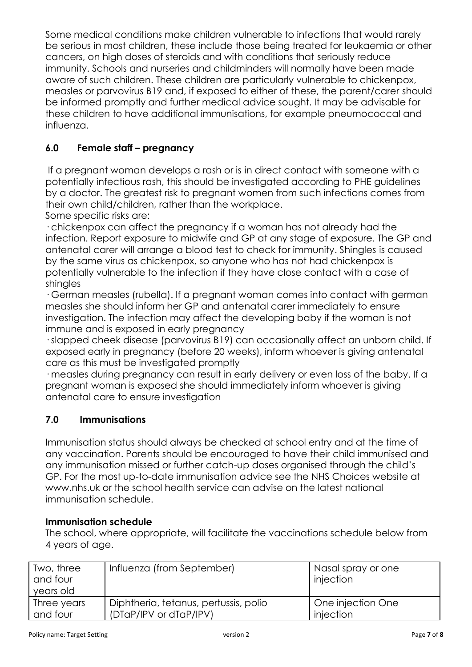Some medical conditions make children vulnerable to infections that would rarely be serious in most children, these include those being treated for leukaemia or other cancers, on high doses of steroids and with conditions that seriously reduce immunity. Schools and nurseries and childminders will normally have been made aware of such children. These children are particularly vulnerable to chickenpox, measles or parvovirus B19 and, if exposed to either of these, the parent/carer should be informed promptly and further medical advice sought. It may be advisable for these children to have additional immunisations, for example pneumococcal and influenza.

### **6.0 Female staff – pregnancy**

If a pregnant woman develops a rash or is in direct contact with someone with a potentially infectious rash, this should be investigated according to PHE guidelines by a doctor. The greatest risk to pregnant women from such infections comes from their own child/children, rather than the workplace.

Some specific risks are:

· chickenpox can affect the pregnancy if a woman has not already had the infection. Report exposure to midwife and GP at any stage of exposure. The GP and antenatal carer will arrange a blood test to check for immunity. Shingles is caused by the same virus as chickenpox, so anyone who has not had chickenpox is potentially vulnerable to the infection if they have close contact with a case of shingles

· German measles (rubella). If a pregnant woman comes into contact with german measles she should inform her GP and antenatal carer immediately to ensure investigation. The infection may affect the developing baby if the woman is not immune and is exposed in early pregnancy

· slapped cheek disease (parvovirus B19) can occasionally affect an unborn child. If exposed early in pregnancy (before 20 weeks), inform whoever is giving antenatal care as this must be investigated promptly

· measles during pregnancy can result in early delivery or even loss of the baby. If a pregnant woman is exposed she should immediately inform whoever is giving antenatal care to ensure investigation

#### **7.0 Immunisations**

Immunisation status should always be checked at school entry and at the time of any vaccination. Parents should be encouraged to have their child immunised and any immunisation missed or further catch-up doses organised through the child's GP. For the most up-to-date immunisation advice see the NHS Choices website at www.nhs.uk or the school health service can advise on the latest national immunisation schedule.

#### **Immunisation schedule**

The school, where appropriate, will facilitate the vaccinations schedule below from 4 years of age.

| Two, three<br>and four<br>years old | Influenza (from September)            | Nasal spray or one<br>injection |
|-------------------------------------|---------------------------------------|---------------------------------|
| Three years                         | Diphtheria, tetanus, pertussis, polio | One injection One               |
| and four                            | (DTaP/IPV or dTaP/IPV)                | injection                       |